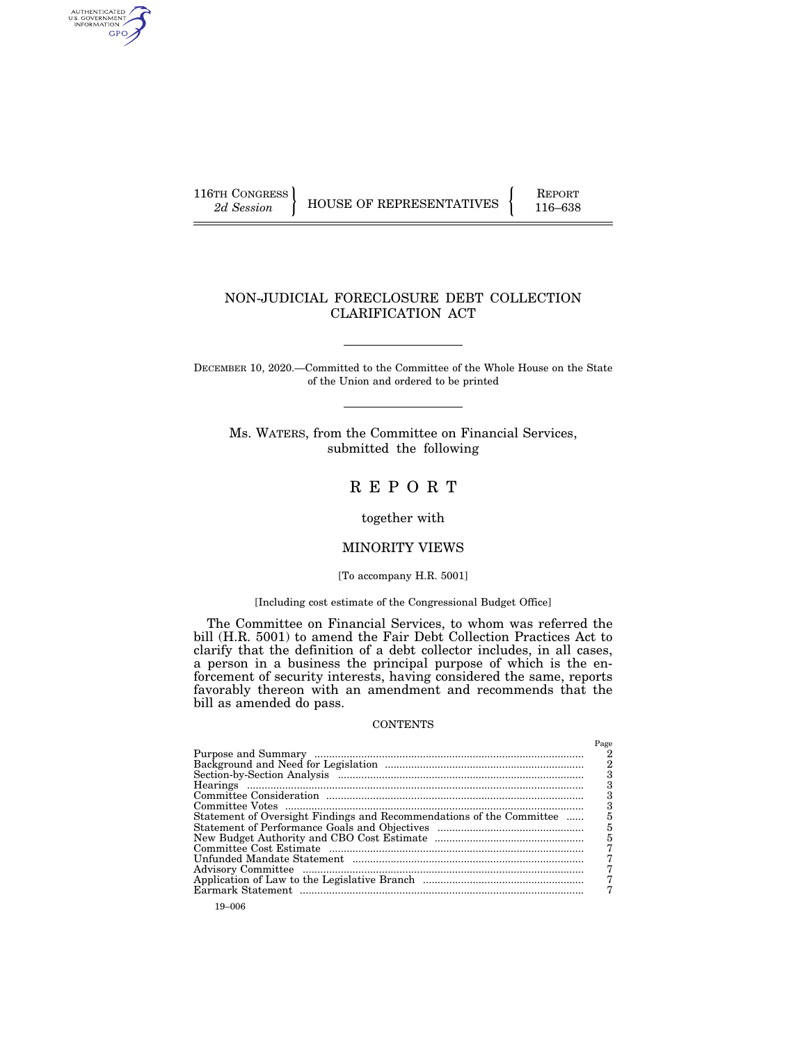AUTHENTICATED<br>U.S. GOVERNMENT<br>INFORMATION GPO

116TH CONGRESS HOUSE OF REPRESENTATIVES FEPORT 116–638

# NON-JUDICIAL FORECLOSURE DEBT COLLECTION CLARIFICATION ACT

DECEMBER 10, 2020.—Committed to the Committee of the Whole House on the State of the Union and ordered to be printed

Ms. WATERS, from the Committee on Financial Services, submitted the following

# R E P O R T

together with

# MINORITY VIEWS

[To accompany H.R. 5001]

### [Including cost estimate of the Congressional Budget Office]

The Committee on Financial Services, to whom was referred the bill (H.R. 5001) to amend the Fair Debt Collection Practices Act to clarify that the definition of a debt collector includes, in all cases, a person in a business the principal purpose of which is the enforcement of security interests, having considered the same, reports favorably thereon with an amendment and recommends that the bill as amended do pass.

#### **CONTENTS**

|                                                                      | Page |
|----------------------------------------------------------------------|------|
|                                                                      | 2    |
|                                                                      | 2    |
|                                                                      | ּפ   |
|                                                                      |      |
|                                                                      | Q    |
|                                                                      |      |
| Statement of Oversight Findings and Recommendations of the Committee |      |
|                                                                      | 5    |
|                                                                      | 5    |
|                                                                      |      |
|                                                                      |      |
|                                                                      |      |
|                                                                      |      |
| Earmark Statement                                                    |      |
|                                                                      |      |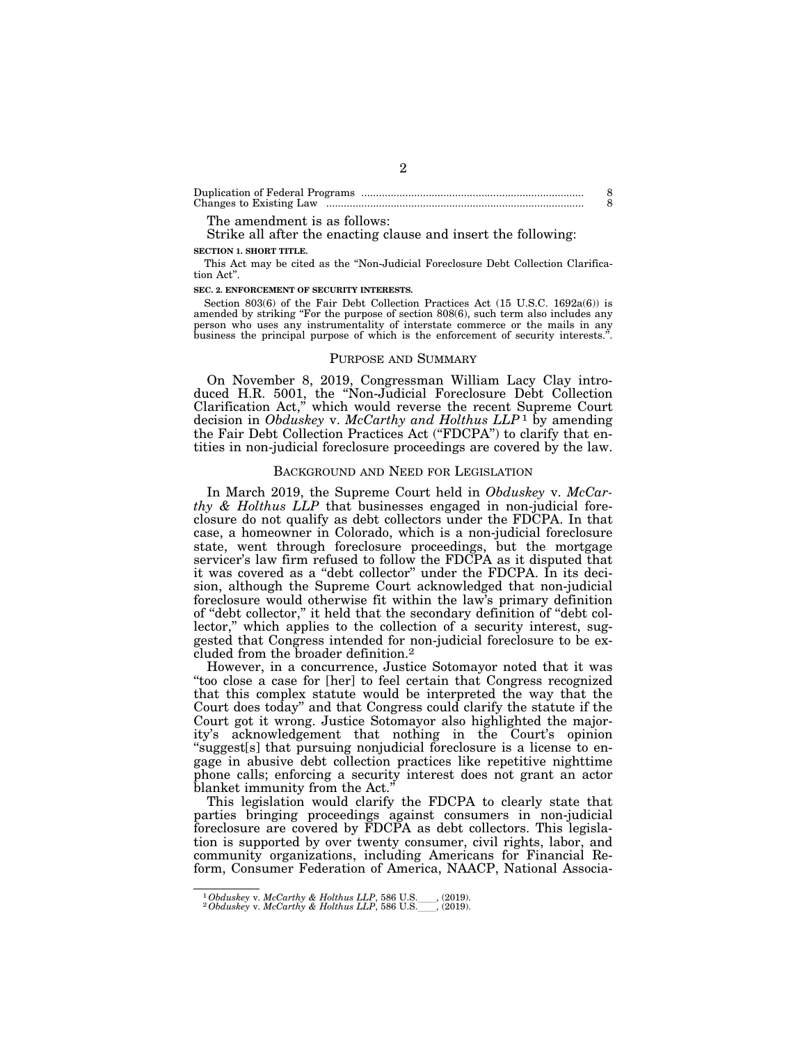| Changes to Existing Law |  |
|-------------------------|--|

The amendment is as follows:

Strike all after the enacting clause and insert the following:

#### **SECTION 1. SHORT TITLE.**

This Act may be cited as the ''Non-Judicial Foreclosure Debt Collection Clarification Act''.

#### **SEC. 2. ENFORCEMENT OF SECURITY INTERESTS.**

Section 803(6) of the Fair Debt Collection Practices Act (15 U.S.C. 1692a(6)) is amended by striking "For the purpose of section 808(6), such term also includes any person who uses any instrumentality of interstate commerce or the mails in any business the principal purpose of which is the enforcement of security interests.''.

#### PURPOSE AND SUMMARY

On November 8, 2019, Congressman William Lacy Clay introduced H.R. 5001, the ''Non-Judicial Foreclosure Debt Collection Clarification Act,'' which would reverse the recent Supreme Court decision in *Obduskey* v. *McCarthy and Holthus LLP* 1 by amending the Fair Debt Collection Practices Act (''FDCPA'') to clarify that entities in non-judicial foreclosure proceedings are covered by the law.

#### BACKGROUND AND NEED FOR LEGISLATION

In March 2019, the Supreme Court held in *Obduskey* v. *McCarthy & Holthus LLP* that businesses engaged in non-judicial foreclosure do not qualify as debt collectors under the FDCPA. In that case, a homeowner in Colorado, which is a non-judicial foreclosure state, went through foreclosure proceedings, but the mortgage servicer's law firm refused to follow the FDCPA as it disputed that it was covered as a ''debt collector'' under the FDCPA. In its decision, although the Supreme Court acknowledged that non-judicial foreclosure would otherwise fit within the law's primary definition of ''debt collector,'' it held that the secondary definition of ''debt collector," which applies to the collection of a security interest, suggested that Congress intended for non-judicial foreclosure to be excluded from the broader definition.2

However, in a concurrence, Justice Sotomayor noted that it was ''too close a case for [her] to feel certain that Congress recognized that this complex statute would be interpreted the way that the Court does today'' and that Congress could clarify the statute if the Court got it wrong. Justice Sotomayor also highlighted the majority's acknowledgement that nothing in the Court's opinion ''suggest[s] that pursuing nonjudicial foreclosure is a license to engage in abusive debt collection practices like repetitive nighttime phone calls; enforcing a security interest does not grant an actor blanket immunity from the Act.

This legislation would clarify the FDCPA to clearly state that parties bringing proceedings against consumers in non-judicial foreclosure are covered by FDCPA as debt collectors. This legislation is supported by over twenty consumer, civil rights, labor, and community organizations, including Americans for Financial Reform, Consumer Federation of America, NAACP, National Associa-

<sup>1</sup>*Obduskey* v. *McCarthy & Holthus LLP*, 586 U.S.ll, (2019). 2*Obduskey* v. *McCarthy & Holthus LLP*, 586 U.S.ll, (2019).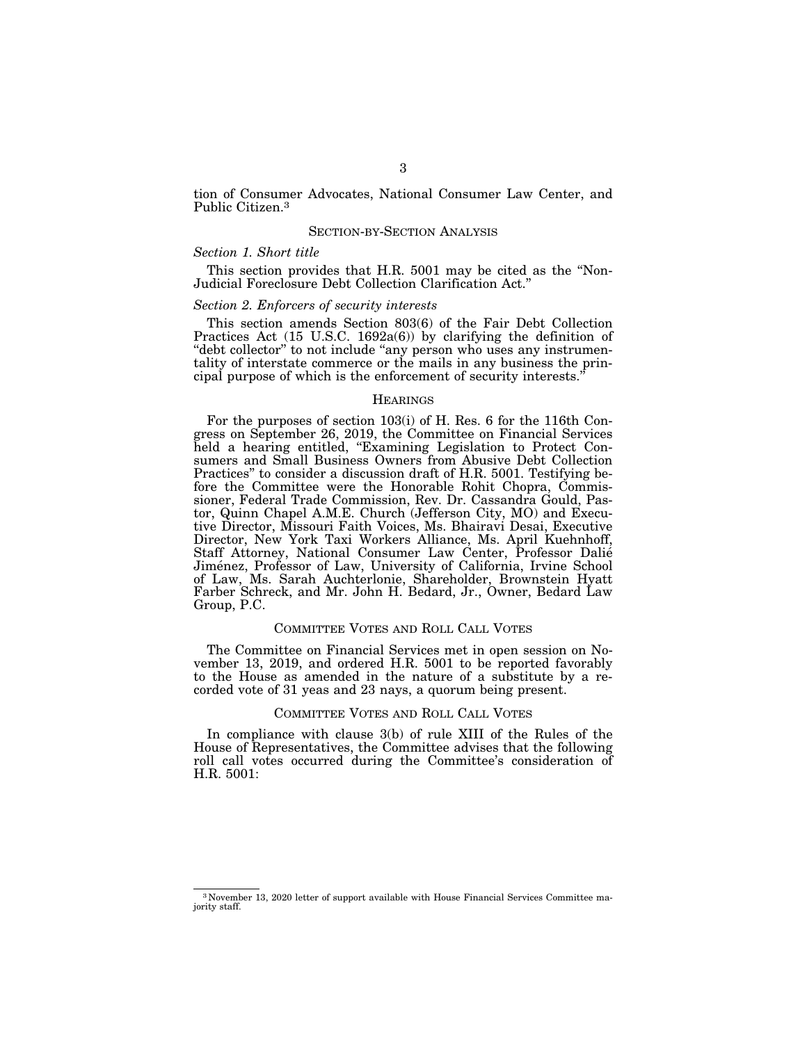tion of Consumer Advocates, National Consumer Law Center, and Public Citizen.3

#### SECTION-BY-SECTION ANALYSIS

#### *Section 1. Short title*

This section provides that H.R. 5001 may be cited as the ''Non-Judicial Foreclosure Debt Collection Clarification Act.''

# *Section 2. Enforcers of security interests*

This section amends Section 803(6) of the Fair Debt Collection Practices Act (15 U.S.C. 1692a(6)) by clarifying the definition of "debt collector" to not include "any person who uses any instrumentality of interstate commerce or the mails in any business the principal purpose of which is the enforcement of security interests.''

### **HEARINGS**

For the purposes of section 103(i) of H. Res. 6 for the 116th Congress on September 26, 2019, the Committee on Financial Services held a hearing entitled, "Examining Legislation to Protect Consumers and Small Business Owners from Abusive Debt Collection Practices'' to consider a discussion draft of H.R. 5001. Testifying before the Committee were the Honorable Rohit Chopra, Commissioner, Federal Trade Commission, Rev. Dr. Cassandra Gould, Pastor, Quinn Chapel A.M.E. Church (Jefferson City, MO) and Executive Director, Missouri Faith Voices, Ms. Bhairavi Desai, Executive Director, New York Taxi Workers Alliance, Ms. April Kuehnhoff, Staff Attorney, National Consumer Law Center, Professor Dalie´ Jiménez, Professor of Law, University of California, Irvine School of Law, Ms. Sarah Auchterlonie, Shareholder, Brownstein Hyatt Farber Schreck, and Mr. John H. Bedard, Jr., Owner, Bedard Law Group, P.C.

### COMMITTEE VOTES AND ROLL CALL VOTES

The Committee on Financial Services met in open session on November 13, 2019, and ordered H.R. 5001 to be reported favorably to the House as amended in the nature of a substitute by a recorded vote of 31 yeas and 23 nays, a quorum being present.

#### COMMITTEE VOTES AND ROLL CALL VOTES

In compliance with clause 3(b) of rule XIII of the Rules of the House of Representatives, the Committee advises that the following roll call votes occurred during the Committee's consideration of H.R. 5001:

<sup>3</sup> November 13, 2020 letter of support available with House Financial Services Committee majority staff.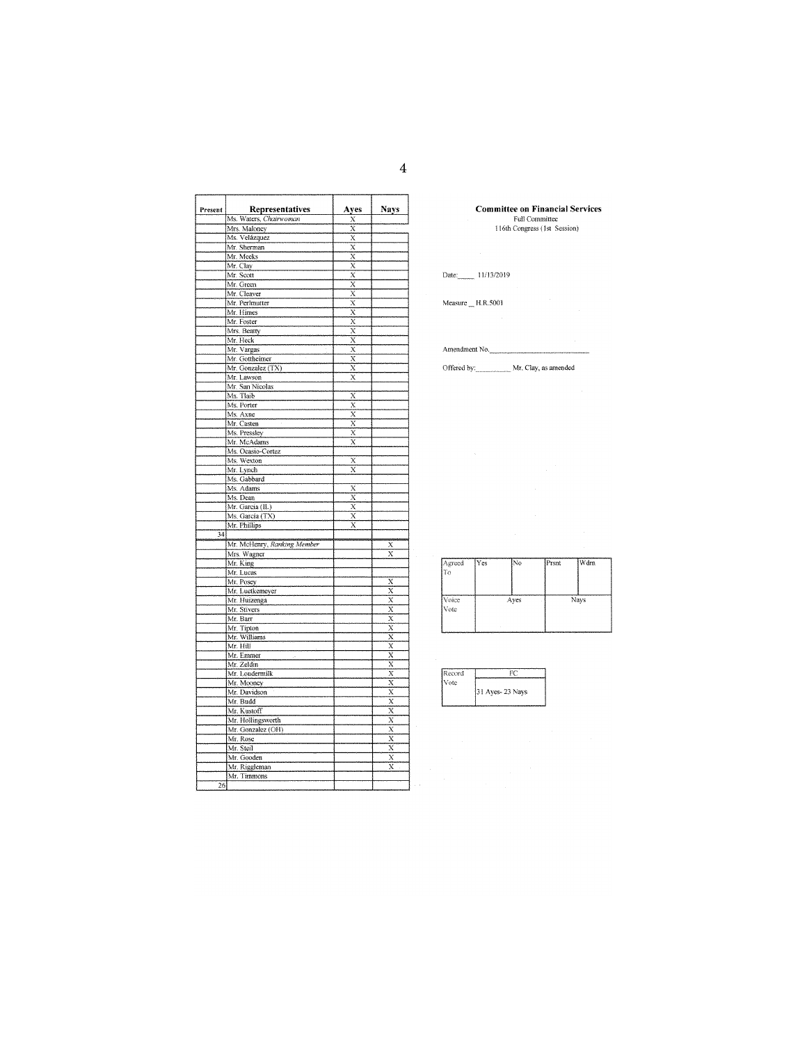| Ms. Waters, Chairwoman<br>X<br>Mrs. Maloney<br>Ms. Velázquez<br>$\bar{\mathrm{x}}$<br>$\overline{\mathbf{x}}$<br>Mr. Sherman<br>Mr. Meeks<br>$\overline{\text{x}}$<br>Mr. Clay<br>x<br>Mr. Scott<br>$\overline{\mathbf{x}}$<br>Mr. Green<br>X<br>Mr. Cleaver<br>X<br>$\overline{\mathbf{x}}$<br>Mr. Perlmutter<br>X<br>Mr. Himes<br>Mr. Foster<br>X<br>Mrs. Beatty<br>X<br>Mr. Heck<br>$\overline{\mathbf{x}}$<br>Mr. Vargas<br>$\overline{\mathbf{x}}$<br>Mr. Gottheimer<br>X<br>Mr. Gonzalez (TX)<br>X<br>Mr. Lawson<br>X<br>Mr. San Nicolas<br>Ms. Tlaib<br>X<br>Ms. Porter<br>X<br>X<br>Ms. Axne<br>$\overline{\mathbf{x}}$<br>Mr. Casten<br>Х<br>Ms. Pressley<br>$\overline{\mathbf{x}}$<br>Mr. McAdams<br>Ms. Ocasio-Cortez<br>Ms. Wexton<br>X<br>X<br>Mr. Lynch<br>Ms. Gabbard<br>Ms. Adams<br>X<br>Ms. Dean<br>X<br>Mr. Garcia (IL)<br>ÿ<br>Ms. Garcia (TX)<br>x<br>Mr. Phillips<br>$\overline{\mathbf{x}}$<br>34<br>Mr. McHenry, Ranking Member<br>Х<br>$\overline{\mathbf{x}}$<br>Mrs. Wagner<br>Mr. King<br>Mr. Lucas<br>Mr. Posey<br>X<br>Χ<br>Mr. Luetkemeyer<br>$\bar{\mathrm{x}}$<br>Mr. Huizenga<br>$\overline{\mathbf{x}}$<br>Mr. Stivers<br>$\frac{\overline{X}}{\overline{X}}$<br>Mr. Barr<br>Mr. Tipton<br>$\overline{x}$<br>Mr. Williams<br>$\bar{\mathbf{x}}$<br>Mr. Hill<br>$\bar{\mathrm{x}}$<br>Mr. Emmer<br>$\overline{\mathbf{x}}$<br>Mr. Zeldin<br>Mr. Loudermilk<br>X<br>Mr. Mooney<br>$\overline{x}$<br>$\overline{x}$<br>Mr. Davidson<br>$\overline{x}$<br>Mr. Budd<br>Ä<br>Mr. Kustoff<br>x<br>Mr. Hollingsworth<br>$\frac{\overline{X}}{\overline{X}}$<br>Mr. Gonzalez (OH)<br>Mr. Rose<br>$\overline{\mathbf{x}}$<br>Mr. Steil<br>$\bar{\mathrm{x}}$<br>Mr. Gooden<br>$\overline{\mathbf{x}}$<br>Mr. Riggleman | Present | Representatives | Ayes | <b>Nays</b> |
|--------------------------------------------------------------------------------------------------------------------------------------------------------------------------------------------------------------------------------------------------------------------------------------------------------------------------------------------------------------------------------------------------------------------------------------------------------------------------------------------------------------------------------------------------------------------------------------------------------------------------------------------------------------------------------------------------------------------------------------------------------------------------------------------------------------------------------------------------------------------------------------------------------------------------------------------------------------------------------------------------------------------------------------------------------------------------------------------------------------------------------------------------------------------------------------------------------------------------------------------------------------------------------------------------------------------------------------------------------------------------------------------------------------------------------------------------------------------------------------------------------------------------------------------------------------------------------------------------------------------------------------------------------------------------------------------------------------------------------------------------|---------|-----------------|------|-------------|
|                                                                                                                                                                                                                                                                                                                                                                                                                                                                                                                                                                                                                                                                                                                                                                                                                                                                                                                                                                                                                                                                                                                                                                                                                                                                                                                                                                                                                                                                                                                                                                                                                                                                                                                                                  |         |                 |      |             |
|                                                                                                                                                                                                                                                                                                                                                                                                                                                                                                                                                                                                                                                                                                                                                                                                                                                                                                                                                                                                                                                                                                                                                                                                                                                                                                                                                                                                                                                                                                                                                                                                                                                                                                                                                  |         |                 |      |             |
|                                                                                                                                                                                                                                                                                                                                                                                                                                                                                                                                                                                                                                                                                                                                                                                                                                                                                                                                                                                                                                                                                                                                                                                                                                                                                                                                                                                                                                                                                                                                                                                                                                                                                                                                                  |         |                 |      |             |
|                                                                                                                                                                                                                                                                                                                                                                                                                                                                                                                                                                                                                                                                                                                                                                                                                                                                                                                                                                                                                                                                                                                                                                                                                                                                                                                                                                                                                                                                                                                                                                                                                                                                                                                                                  |         |                 |      |             |
|                                                                                                                                                                                                                                                                                                                                                                                                                                                                                                                                                                                                                                                                                                                                                                                                                                                                                                                                                                                                                                                                                                                                                                                                                                                                                                                                                                                                                                                                                                                                                                                                                                                                                                                                                  |         |                 |      |             |
|                                                                                                                                                                                                                                                                                                                                                                                                                                                                                                                                                                                                                                                                                                                                                                                                                                                                                                                                                                                                                                                                                                                                                                                                                                                                                                                                                                                                                                                                                                                                                                                                                                                                                                                                                  |         |                 |      |             |
|                                                                                                                                                                                                                                                                                                                                                                                                                                                                                                                                                                                                                                                                                                                                                                                                                                                                                                                                                                                                                                                                                                                                                                                                                                                                                                                                                                                                                                                                                                                                                                                                                                                                                                                                                  |         |                 |      |             |
|                                                                                                                                                                                                                                                                                                                                                                                                                                                                                                                                                                                                                                                                                                                                                                                                                                                                                                                                                                                                                                                                                                                                                                                                                                                                                                                                                                                                                                                                                                                                                                                                                                                                                                                                                  |         |                 |      |             |
|                                                                                                                                                                                                                                                                                                                                                                                                                                                                                                                                                                                                                                                                                                                                                                                                                                                                                                                                                                                                                                                                                                                                                                                                                                                                                                                                                                                                                                                                                                                                                                                                                                                                                                                                                  |         |                 |      |             |
|                                                                                                                                                                                                                                                                                                                                                                                                                                                                                                                                                                                                                                                                                                                                                                                                                                                                                                                                                                                                                                                                                                                                                                                                                                                                                                                                                                                                                                                                                                                                                                                                                                                                                                                                                  |         |                 |      |             |
|                                                                                                                                                                                                                                                                                                                                                                                                                                                                                                                                                                                                                                                                                                                                                                                                                                                                                                                                                                                                                                                                                                                                                                                                                                                                                                                                                                                                                                                                                                                                                                                                                                                                                                                                                  |         |                 |      |             |
|                                                                                                                                                                                                                                                                                                                                                                                                                                                                                                                                                                                                                                                                                                                                                                                                                                                                                                                                                                                                                                                                                                                                                                                                                                                                                                                                                                                                                                                                                                                                                                                                                                                                                                                                                  |         |                 |      |             |
|                                                                                                                                                                                                                                                                                                                                                                                                                                                                                                                                                                                                                                                                                                                                                                                                                                                                                                                                                                                                                                                                                                                                                                                                                                                                                                                                                                                                                                                                                                                                                                                                                                                                                                                                                  |         |                 |      |             |
|                                                                                                                                                                                                                                                                                                                                                                                                                                                                                                                                                                                                                                                                                                                                                                                                                                                                                                                                                                                                                                                                                                                                                                                                                                                                                                                                                                                                                                                                                                                                                                                                                                                                                                                                                  |         |                 |      |             |
|                                                                                                                                                                                                                                                                                                                                                                                                                                                                                                                                                                                                                                                                                                                                                                                                                                                                                                                                                                                                                                                                                                                                                                                                                                                                                                                                                                                                                                                                                                                                                                                                                                                                                                                                                  |         |                 |      |             |
|                                                                                                                                                                                                                                                                                                                                                                                                                                                                                                                                                                                                                                                                                                                                                                                                                                                                                                                                                                                                                                                                                                                                                                                                                                                                                                                                                                                                                                                                                                                                                                                                                                                                                                                                                  |         |                 |      |             |
|                                                                                                                                                                                                                                                                                                                                                                                                                                                                                                                                                                                                                                                                                                                                                                                                                                                                                                                                                                                                                                                                                                                                                                                                                                                                                                                                                                                                                                                                                                                                                                                                                                                                                                                                                  |         |                 |      |             |
|                                                                                                                                                                                                                                                                                                                                                                                                                                                                                                                                                                                                                                                                                                                                                                                                                                                                                                                                                                                                                                                                                                                                                                                                                                                                                                                                                                                                                                                                                                                                                                                                                                                                                                                                                  |         |                 |      |             |
|                                                                                                                                                                                                                                                                                                                                                                                                                                                                                                                                                                                                                                                                                                                                                                                                                                                                                                                                                                                                                                                                                                                                                                                                                                                                                                                                                                                                                                                                                                                                                                                                                                                                                                                                                  |         |                 |      |             |
|                                                                                                                                                                                                                                                                                                                                                                                                                                                                                                                                                                                                                                                                                                                                                                                                                                                                                                                                                                                                                                                                                                                                                                                                                                                                                                                                                                                                                                                                                                                                                                                                                                                                                                                                                  |         |                 |      |             |
|                                                                                                                                                                                                                                                                                                                                                                                                                                                                                                                                                                                                                                                                                                                                                                                                                                                                                                                                                                                                                                                                                                                                                                                                                                                                                                                                                                                                                                                                                                                                                                                                                                                                                                                                                  |         |                 |      |             |
|                                                                                                                                                                                                                                                                                                                                                                                                                                                                                                                                                                                                                                                                                                                                                                                                                                                                                                                                                                                                                                                                                                                                                                                                                                                                                                                                                                                                                                                                                                                                                                                                                                                                                                                                                  |         |                 |      |             |
|                                                                                                                                                                                                                                                                                                                                                                                                                                                                                                                                                                                                                                                                                                                                                                                                                                                                                                                                                                                                                                                                                                                                                                                                                                                                                                                                                                                                                                                                                                                                                                                                                                                                                                                                                  |         |                 |      |             |
|                                                                                                                                                                                                                                                                                                                                                                                                                                                                                                                                                                                                                                                                                                                                                                                                                                                                                                                                                                                                                                                                                                                                                                                                                                                                                                                                                                                                                                                                                                                                                                                                                                                                                                                                                  |         |                 |      |             |
|                                                                                                                                                                                                                                                                                                                                                                                                                                                                                                                                                                                                                                                                                                                                                                                                                                                                                                                                                                                                                                                                                                                                                                                                                                                                                                                                                                                                                                                                                                                                                                                                                                                                                                                                                  |         |                 |      |             |
|                                                                                                                                                                                                                                                                                                                                                                                                                                                                                                                                                                                                                                                                                                                                                                                                                                                                                                                                                                                                                                                                                                                                                                                                                                                                                                                                                                                                                                                                                                                                                                                                                                                                                                                                                  |         |                 |      |             |
|                                                                                                                                                                                                                                                                                                                                                                                                                                                                                                                                                                                                                                                                                                                                                                                                                                                                                                                                                                                                                                                                                                                                                                                                                                                                                                                                                                                                                                                                                                                                                                                                                                                                                                                                                  |         |                 |      |             |
|                                                                                                                                                                                                                                                                                                                                                                                                                                                                                                                                                                                                                                                                                                                                                                                                                                                                                                                                                                                                                                                                                                                                                                                                                                                                                                                                                                                                                                                                                                                                                                                                                                                                                                                                                  |         |                 |      |             |
|                                                                                                                                                                                                                                                                                                                                                                                                                                                                                                                                                                                                                                                                                                                                                                                                                                                                                                                                                                                                                                                                                                                                                                                                                                                                                                                                                                                                                                                                                                                                                                                                                                                                                                                                                  |         |                 |      |             |
|                                                                                                                                                                                                                                                                                                                                                                                                                                                                                                                                                                                                                                                                                                                                                                                                                                                                                                                                                                                                                                                                                                                                                                                                                                                                                                                                                                                                                                                                                                                                                                                                                                                                                                                                                  |         |                 |      |             |
|                                                                                                                                                                                                                                                                                                                                                                                                                                                                                                                                                                                                                                                                                                                                                                                                                                                                                                                                                                                                                                                                                                                                                                                                                                                                                                                                                                                                                                                                                                                                                                                                                                                                                                                                                  |         |                 |      |             |
|                                                                                                                                                                                                                                                                                                                                                                                                                                                                                                                                                                                                                                                                                                                                                                                                                                                                                                                                                                                                                                                                                                                                                                                                                                                                                                                                                                                                                                                                                                                                                                                                                                                                                                                                                  |         |                 |      |             |
|                                                                                                                                                                                                                                                                                                                                                                                                                                                                                                                                                                                                                                                                                                                                                                                                                                                                                                                                                                                                                                                                                                                                                                                                                                                                                                                                                                                                                                                                                                                                                                                                                                                                                                                                                  |         |                 |      |             |
|                                                                                                                                                                                                                                                                                                                                                                                                                                                                                                                                                                                                                                                                                                                                                                                                                                                                                                                                                                                                                                                                                                                                                                                                                                                                                                                                                                                                                                                                                                                                                                                                                                                                                                                                                  |         |                 |      |             |
|                                                                                                                                                                                                                                                                                                                                                                                                                                                                                                                                                                                                                                                                                                                                                                                                                                                                                                                                                                                                                                                                                                                                                                                                                                                                                                                                                                                                                                                                                                                                                                                                                                                                                                                                                  |         |                 |      |             |
|                                                                                                                                                                                                                                                                                                                                                                                                                                                                                                                                                                                                                                                                                                                                                                                                                                                                                                                                                                                                                                                                                                                                                                                                                                                                                                                                                                                                                                                                                                                                                                                                                                                                                                                                                  |         |                 |      |             |
|                                                                                                                                                                                                                                                                                                                                                                                                                                                                                                                                                                                                                                                                                                                                                                                                                                                                                                                                                                                                                                                                                                                                                                                                                                                                                                                                                                                                                                                                                                                                                                                                                                                                                                                                                  |         |                 |      |             |
|                                                                                                                                                                                                                                                                                                                                                                                                                                                                                                                                                                                                                                                                                                                                                                                                                                                                                                                                                                                                                                                                                                                                                                                                                                                                                                                                                                                                                                                                                                                                                                                                                                                                                                                                                  |         |                 |      |             |
|                                                                                                                                                                                                                                                                                                                                                                                                                                                                                                                                                                                                                                                                                                                                                                                                                                                                                                                                                                                                                                                                                                                                                                                                                                                                                                                                                                                                                                                                                                                                                                                                                                                                                                                                                  |         |                 |      |             |
|                                                                                                                                                                                                                                                                                                                                                                                                                                                                                                                                                                                                                                                                                                                                                                                                                                                                                                                                                                                                                                                                                                                                                                                                                                                                                                                                                                                                                                                                                                                                                                                                                                                                                                                                                  |         |                 |      |             |
|                                                                                                                                                                                                                                                                                                                                                                                                                                                                                                                                                                                                                                                                                                                                                                                                                                                                                                                                                                                                                                                                                                                                                                                                                                                                                                                                                                                                                                                                                                                                                                                                                                                                                                                                                  |         |                 |      |             |
|                                                                                                                                                                                                                                                                                                                                                                                                                                                                                                                                                                                                                                                                                                                                                                                                                                                                                                                                                                                                                                                                                                                                                                                                                                                                                                                                                                                                                                                                                                                                                                                                                                                                                                                                                  |         |                 |      |             |
|                                                                                                                                                                                                                                                                                                                                                                                                                                                                                                                                                                                                                                                                                                                                                                                                                                                                                                                                                                                                                                                                                                                                                                                                                                                                                                                                                                                                                                                                                                                                                                                                                                                                                                                                                  |         |                 |      |             |
|                                                                                                                                                                                                                                                                                                                                                                                                                                                                                                                                                                                                                                                                                                                                                                                                                                                                                                                                                                                                                                                                                                                                                                                                                                                                                                                                                                                                                                                                                                                                                                                                                                                                                                                                                  |         |                 |      |             |
|                                                                                                                                                                                                                                                                                                                                                                                                                                                                                                                                                                                                                                                                                                                                                                                                                                                                                                                                                                                                                                                                                                                                                                                                                                                                                                                                                                                                                                                                                                                                                                                                                                                                                                                                                  |         |                 |      |             |
|                                                                                                                                                                                                                                                                                                                                                                                                                                                                                                                                                                                                                                                                                                                                                                                                                                                                                                                                                                                                                                                                                                                                                                                                                                                                                                                                                                                                                                                                                                                                                                                                                                                                                                                                                  |         |                 |      |             |
|                                                                                                                                                                                                                                                                                                                                                                                                                                                                                                                                                                                                                                                                                                                                                                                                                                                                                                                                                                                                                                                                                                                                                                                                                                                                                                                                                                                                                                                                                                                                                                                                                                                                                                                                                  |         |                 |      |             |
|                                                                                                                                                                                                                                                                                                                                                                                                                                                                                                                                                                                                                                                                                                                                                                                                                                                                                                                                                                                                                                                                                                                                                                                                                                                                                                                                                                                                                                                                                                                                                                                                                                                                                                                                                  |         |                 |      |             |
|                                                                                                                                                                                                                                                                                                                                                                                                                                                                                                                                                                                                                                                                                                                                                                                                                                                                                                                                                                                                                                                                                                                                                                                                                                                                                                                                                                                                                                                                                                                                                                                                                                                                                                                                                  |         |                 |      |             |
|                                                                                                                                                                                                                                                                                                                                                                                                                                                                                                                                                                                                                                                                                                                                                                                                                                                                                                                                                                                                                                                                                                                                                                                                                                                                                                                                                                                                                                                                                                                                                                                                                                                                                                                                                  |         |                 |      |             |
|                                                                                                                                                                                                                                                                                                                                                                                                                                                                                                                                                                                                                                                                                                                                                                                                                                                                                                                                                                                                                                                                                                                                                                                                                                                                                                                                                                                                                                                                                                                                                                                                                                                                                                                                                  |         |                 |      |             |
|                                                                                                                                                                                                                                                                                                                                                                                                                                                                                                                                                                                                                                                                                                                                                                                                                                                                                                                                                                                                                                                                                                                                                                                                                                                                                                                                                                                                                                                                                                                                                                                                                                                                                                                                                  |         |                 |      |             |
|                                                                                                                                                                                                                                                                                                                                                                                                                                                                                                                                                                                                                                                                                                                                                                                                                                                                                                                                                                                                                                                                                                                                                                                                                                                                                                                                                                                                                                                                                                                                                                                                                                                                                                                                                  |         |                 |      |             |
|                                                                                                                                                                                                                                                                                                                                                                                                                                                                                                                                                                                                                                                                                                                                                                                                                                                                                                                                                                                                                                                                                                                                                                                                                                                                                                                                                                                                                                                                                                                                                                                                                                                                                                                                                  |         |                 |      |             |
|                                                                                                                                                                                                                                                                                                                                                                                                                                                                                                                                                                                                                                                                                                                                                                                                                                                                                                                                                                                                                                                                                                                                                                                                                                                                                                                                                                                                                                                                                                                                                                                                                                                                                                                                                  |         |                 |      |             |
|                                                                                                                                                                                                                                                                                                                                                                                                                                                                                                                                                                                                                                                                                                                                                                                                                                                                                                                                                                                                                                                                                                                                                                                                                                                                                                                                                                                                                                                                                                                                                                                                                                                                                                                                                  |         |                 |      |             |
|                                                                                                                                                                                                                                                                                                                                                                                                                                                                                                                                                                                                                                                                                                                                                                                                                                                                                                                                                                                                                                                                                                                                                                                                                                                                                                                                                                                                                                                                                                                                                                                                                                                                                                                                                  |         |                 |      |             |
|                                                                                                                                                                                                                                                                                                                                                                                                                                                                                                                                                                                                                                                                                                                                                                                                                                                                                                                                                                                                                                                                                                                                                                                                                                                                                                                                                                                                                                                                                                                                                                                                                                                                                                                                                  |         |                 |      |             |
|                                                                                                                                                                                                                                                                                                                                                                                                                                                                                                                                                                                                                                                                                                                                                                                                                                                                                                                                                                                                                                                                                                                                                                                                                                                                                                                                                                                                                                                                                                                                                                                                                                                                                                                                                  |         |                 |      |             |
|                                                                                                                                                                                                                                                                                                                                                                                                                                                                                                                                                                                                                                                                                                                                                                                                                                                                                                                                                                                                                                                                                                                                                                                                                                                                                                                                                                                                                                                                                                                                                                                                                                                                                                                                                  |         |                 |      |             |
|                                                                                                                                                                                                                                                                                                                                                                                                                                                                                                                                                                                                                                                                                                                                                                                                                                                                                                                                                                                                                                                                                                                                                                                                                                                                                                                                                                                                                                                                                                                                                                                                                                                                                                                                                  |         |                 |      |             |
|                                                                                                                                                                                                                                                                                                                                                                                                                                                                                                                                                                                                                                                                                                                                                                                                                                                                                                                                                                                                                                                                                                                                                                                                                                                                                                                                                                                                                                                                                                                                                                                                                                                                                                                                                  |         | Mr. Timmons     |      |             |

**Committee on Financial Services**<br>Full Committee<br>116th Congress (1st Session)

Date: 11/13/2019

 $Measure\_H.R.5001$ 

Amendment No.

Offered by: Mr. Clay, as amended

 $\fbox{$\displaystyle\bigwedge^{A \text{greed}}_{T\text{o}}$}$ Yes  $\overline{\text{No}}$ Prsnt Wdrn Voice<br>Vote Ayes Nays

| Record |                 |
|--------|-----------------|
| Vote   |                 |
|        | 31 Ayes-23 Nays |
|        |                 |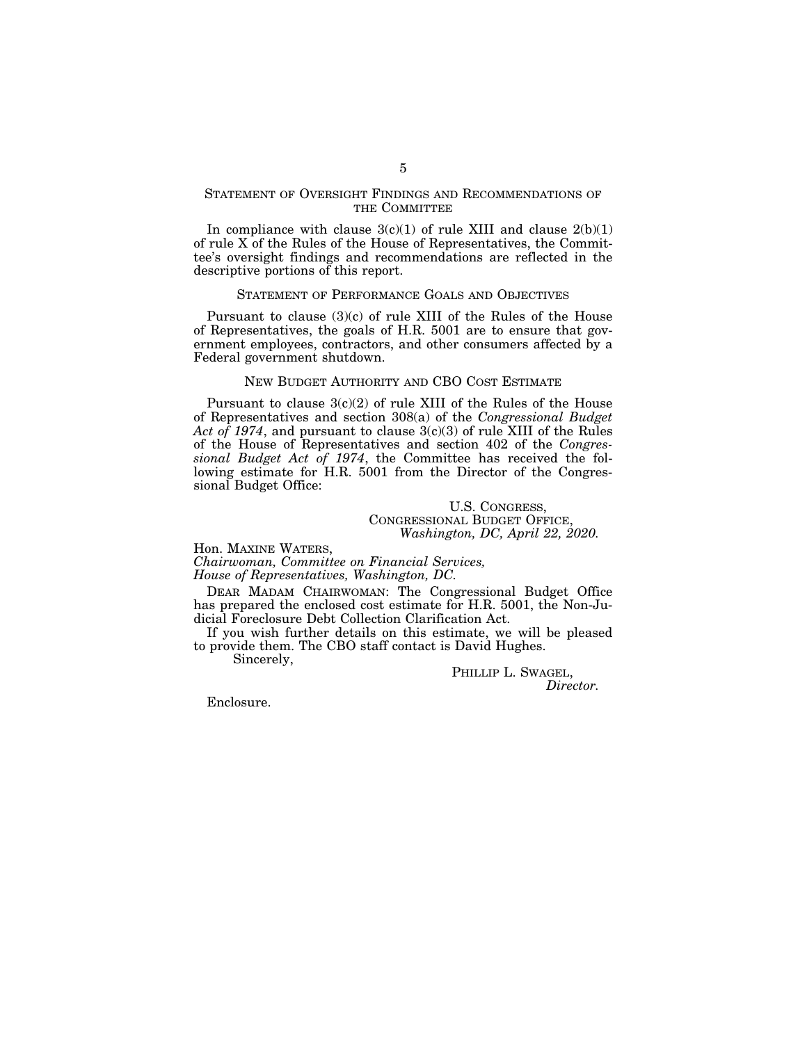# STATEMENT OF OVERSIGHT FINDINGS AND RECOMMENDATIONS OF THE COMMITTEE

In compliance with clause  $3(c)(1)$  of rule XIII and clause  $2(b)(1)$ of rule X of the Rules of the House of Representatives, the Committee's oversight findings and recommendations are reflected in the descriptive portions of this report.

#### STATEMENT OF PERFORMANCE GOALS AND OBJECTIVES

Pursuant to clause  $(3)(c)$  of rule XIII of the Rules of the House of Representatives, the goals of H.R. 5001 are to ensure that government employees, contractors, and other consumers affected by a Federal government shutdown.

### NEW BUDGET AUTHORITY AND CBO COST ESTIMATE

Pursuant to clause  $3(c)(2)$  of rule XIII of the Rules of the House of Representatives and section 308(a) of the *Congressional Budget Act of 1974*, and pursuant to clause 3(c)(3) of rule XIII of the Rules of the House of Representatives and section 402 of the *Congressional Budget Act of 1974*, the Committee has received the following estimate for H.R. 5001 from the Director of the Congressional Budget Office:

> U.S. CONGRESS, CONGRESSIONAL BUDGET OFFICE, *Washington, DC, April 22, 2020.*

Hon. MAXINE WATERS, *Chairwoman, Committee on Financial Services,* 

*House of Representatives, Washington, DC.* 

DEAR MADAM CHAIRWOMAN: The Congressional Budget Office has prepared the enclosed cost estimate for H.R. 5001, the Non-Judicial Foreclosure Debt Collection Clarification Act.

If you wish further details on this estimate, we will be pleased to provide them. The CBO staff contact is David Hughes. Sincerely,

PHILLIP L. SWAGEL, *Director.* 

Enclosure.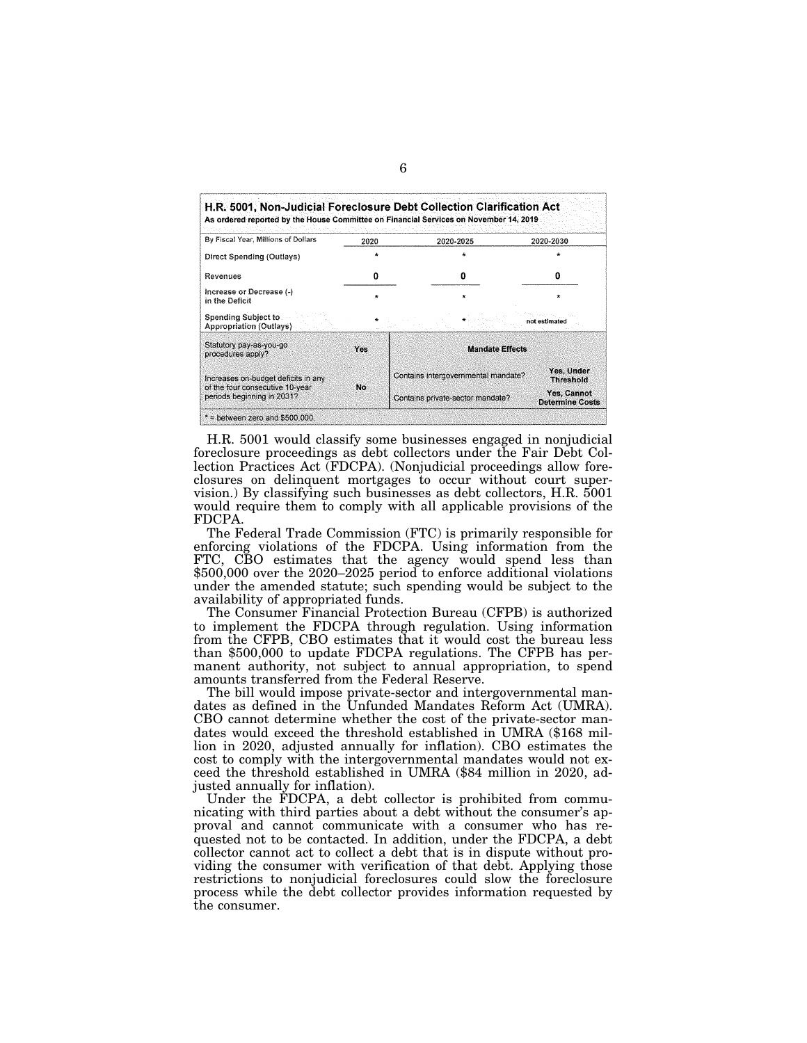|                                                                |      |                                     | As ordered reported by the House Committee on Financial Services on November 14, 2019 |
|----------------------------------------------------------------|------|-------------------------------------|---------------------------------------------------------------------------------------|
| By Fiscal Year, Millions of Dollars                            | 2020 | 2020-2025                           | 2020-2030                                                                             |
| Direct Spending (Outlays)                                      |      |                                     |                                                                                       |
| Revenues                                                       | 0    | 0                                   |                                                                                       |
| Increase or Decrease (-)<br>in the Deficit                     | ٠    | $\star$                             | ÷                                                                                     |
| Spending Subject to<br><b>Appropriation (Outlays)</b>          |      |                                     | not estimated                                                                         |
| Statutory pay-as-you-go<br>procedures apply?                   | Yes  | <b>Mandate Effects</b>              |                                                                                       |
| Increases on-budget deficits in any                            |      | Contains intergovernmental mandate? | Yes, Under<br><b>Threshold</b>                                                        |
| of the four consecutive 10-year.<br>periods beginning in 2031? | No   | Contains private-sector mandate?    | Yes, Cannot<br><b>Determine Costs</b>                                                 |

H.R. 5001 would classify some businesses engaged in nonjudicial foreclosure proceedings as debt collectors under the Fair Debt Collection Practices Act (FDCPA). (Nonjudicial proceedings allow foreclosures on delinquent mortgages to occur without court supervision.) By classifying such businesses as debt collectors, H.R. 5001 would require them to comply with all applicable provisions of the FDCPA.

The Federal Trade Commission (FTC) is primarily responsible for enforcing violations of the FDCPA. Using information from the FTC, CBO estimates that the agency would spend less than \$500,000 over the 2020–2025 period to enforce additional violations under the amended statute; such spending would be subject to the availability of appropriated funds.

The Consumer Financial Protection Bureau (CFPB) is authorized to implement the FDCPA through regulation. Using information from the CFPB, CBO estimates that it would cost the bureau less than \$500,000 to update FDCPA regulations. The CFPB has permanent authority, not subject to annual appropriation, to spend amounts transferred from the Federal Reserve.

The bill would impose private-sector and intergovernmental mandates as defined in the Unfunded Mandates Reform Act (UMRA). CBO cannot determine whether the cost of the private-sector mandates would exceed the threshold established in UMRA (\$168 million in 2020, adjusted annually for inflation). CBO estimates the cost to comply with the intergovernmental mandates would not exceed the threshold established in UMRA (\$84 million in 2020, adjusted annually for inflation).

Under the FDCPA, a debt collector is prohibited from communicating with third parties about a debt without the consumer's approval and cannot communicate with a consumer who has requested not to be contacted. In addition, under the FDCPA, a debt collector cannot act to collect a debt that is in dispute without providing the consumer with verification of that debt. Applying those restrictions to nonjudicial foreclosures could slow the foreclosure process while the debt collector provides information requested by the consumer.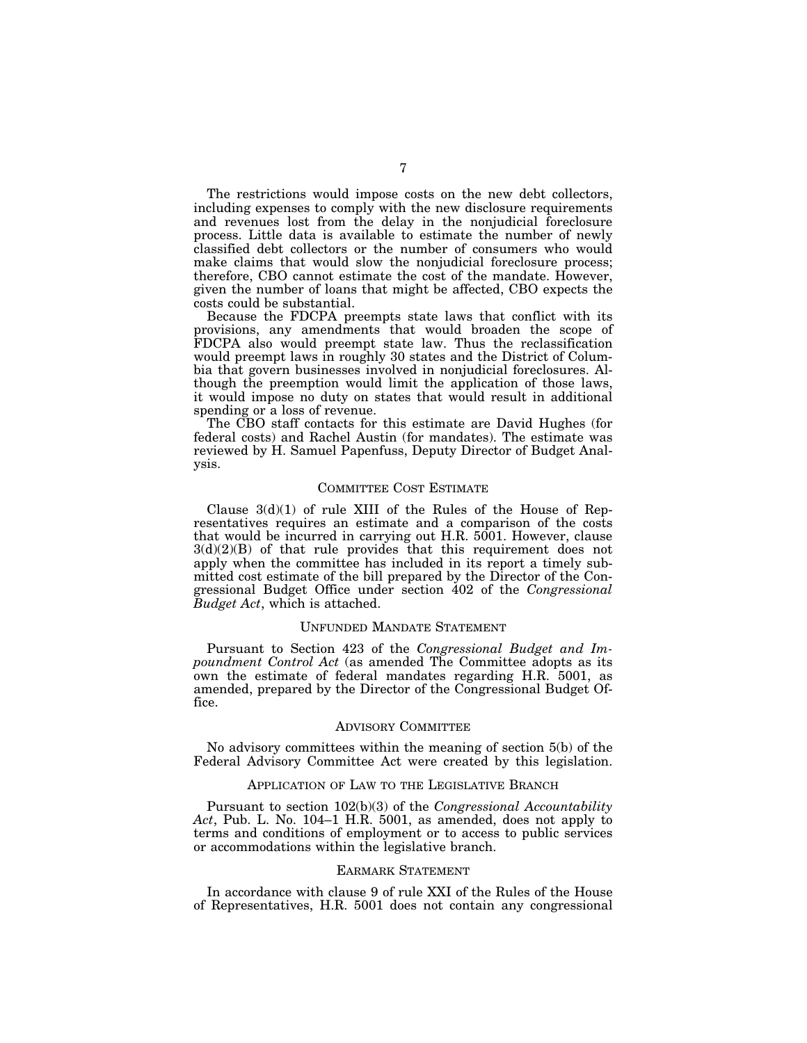The restrictions would impose costs on the new debt collectors, including expenses to comply with the new disclosure requirements and revenues lost from the delay in the nonjudicial foreclosure process. Little data is available to estimate the number of newly classified debt collectors or the number of consumers who would make claims that would slow the nonjudicial foreclosure process; therefore, CBO cannot estimate the cost of the mandate. However, given the number of loans that might be affected, CBO expects the costs could be substantial.

Because the FDCPA preempts state laws that conflict with its provisions, any amendments that would broaden the scope of FDCPA also would preempt state law. Thus the reclassification would preempt laws in roughly 30 states and the District of Columbia that govern businesses involved in nonjudicial foreclosures. Although the preemption would limit the application of those laws, it would impose no duty on states that would result in additional spending or a loss of revenue.

The CBO staff contacts for this estimate are David Hughes (for federal costs) and Rachel Austin (for mandates). The estimate was reviewed by H. Samuel Papenfuss, Deputy Director of Budget Analysis.

# COMMITTEE COST ESTIMATE

Clause  $3(d)(1)$  of rule XIII of the Rules of the House of Representatives requires an estimate and a comparison of the costs that would be incurred in carrying out H.R. 5001. However, clause 3(d)(2)(B) of that rule provides that this requirement does not apply when the committee has included in its report a timely submitted cost estimate of the bill prepared by the Director of the Congressional Budget Office under section 402 of the *Congressional Budget Act*, which is attached.

#### UNFUNDED MANDATE STATEMENT

Pursuant to Section 423 of the *Congressional Budget and Impoundment Control Act* (as amended The Committee adopts as its own the estimate of federal mandates regarding H.R. 5001, as amended, prepared by the Director of the Congressional Budget Office.

#### ADVISORY COMMITTEE

No advisory committees within the meaning of section 5(b) of the Federal Advisory Committee Act were created by this legislation.

#### APPLICATION OF LAW TO THE LEGISLATIVE BRANCH

Pursuant to section 102(b)(3) of the *Congressional Accountability Act*, Pub. L. No. 104–1 H.R. 5001, as amended, does not apply to terms and conditions of employment or to access to public services or accommodations within the legislative branch.

#### EARMARK STATEMENT

In accordance with clause 9 of rule XXI of the Rules of the House of Representatives, H.R. 5001 does not contain any congressional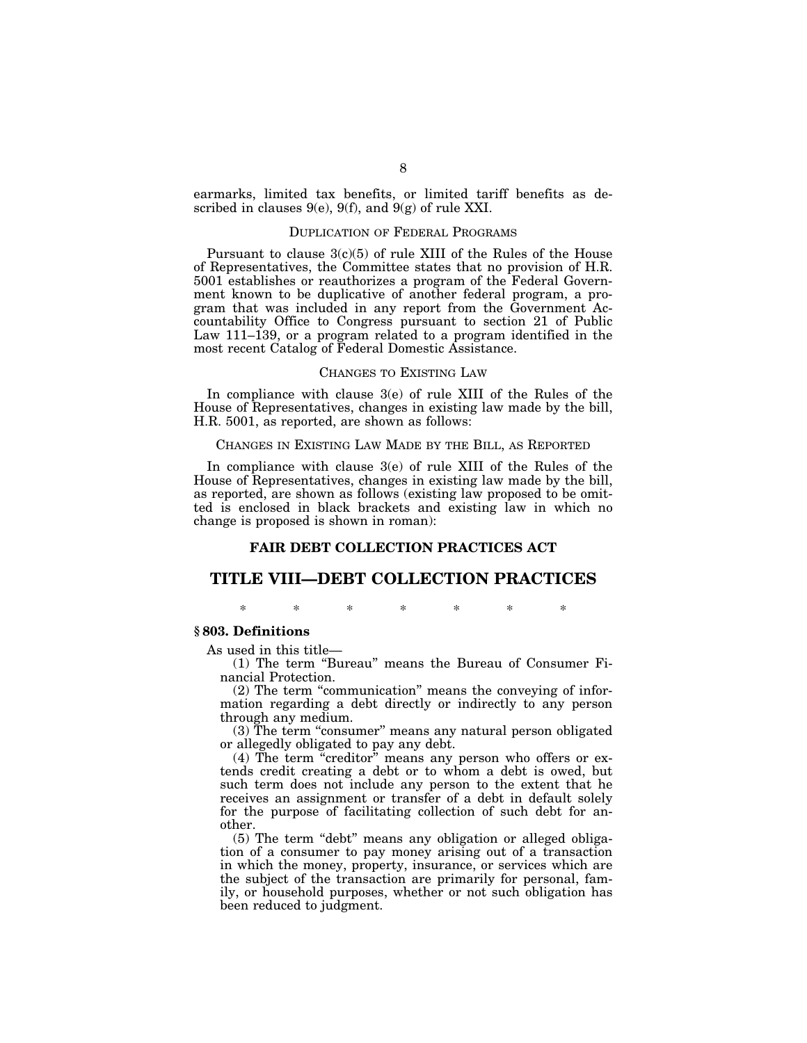earmarks, limited tax benefits, or limited tariff benefits as described in clauses  $9(e)$ ,  $9(f)$ , and  $9(g)$  of rule XXI.

## DUPLICATION OF FEDERAL PROGRAMS

Pursuant to clause  $3(c)(5)$  of rule XIII of the Rules of the House of Representatives, the Committee states that no provision of H.R. 5001 establishes or reauthorizes a program of the Federal Government known to be duplicative of another federal program, a program that was included in any report from the Government Accountability Office to Congress pursuant to section 21 of Public Law 111–139, or a program related to a program identified in the most recent Catalog of Federal Domestic Assistance.

### CHANGES TO EXISTING LAW

In compliance with clause 3(e) of rule XIII of the Rules of the House of Representatives, changes in existing law made by the bill, H.R. 5001, as reported, are shown as follows:

### CHANGES IN EXISTING LAW MADE BY THE BILL, AS REPORTED

In compliance with clause 3(e) of rule XIII of the Rules of the House of Representatives, changes in existing law made by the bill, as reported, are shown as follows (existing law proposed to be omitted is enclosed in black brackets and existing law in which no change is proposed is shown in roman):

# **FAIR DEBT COLLECTION PRACTICES ACT**

# **TITLE VIII—DEBT COLLECTION PRACTICES**

\* \* \* \* \* \* \*

### **§ 803. Definitions**

As used in this title—

(1) The term ''Bureau'' means the Bureau of Consumer Financial Protection.

(2) The term ''communication'' means the conveying of information regarding a debt directly or indirectly to any person through any medium.

(3) The term "consumer" means any natural person obligated or allegedly obligated to pay any debt.

(4) The term "creditor" means any person who offers or extends credit creating a debt or to whom a debt is owed, but such term does not include any person to the extent that he receives an assignment or transfer of a debt in default solely for the purpose of facilitating collection of such debt for another.

(5) The term ''debt'' means any obligation or alleged obligation of a consumer to pay money arising out of a transaction in which the money, property, insurance, or services which are the subject of the transaction are primarily for personal, family, or household purposes, whether or not such obligation has been reduced to judgment.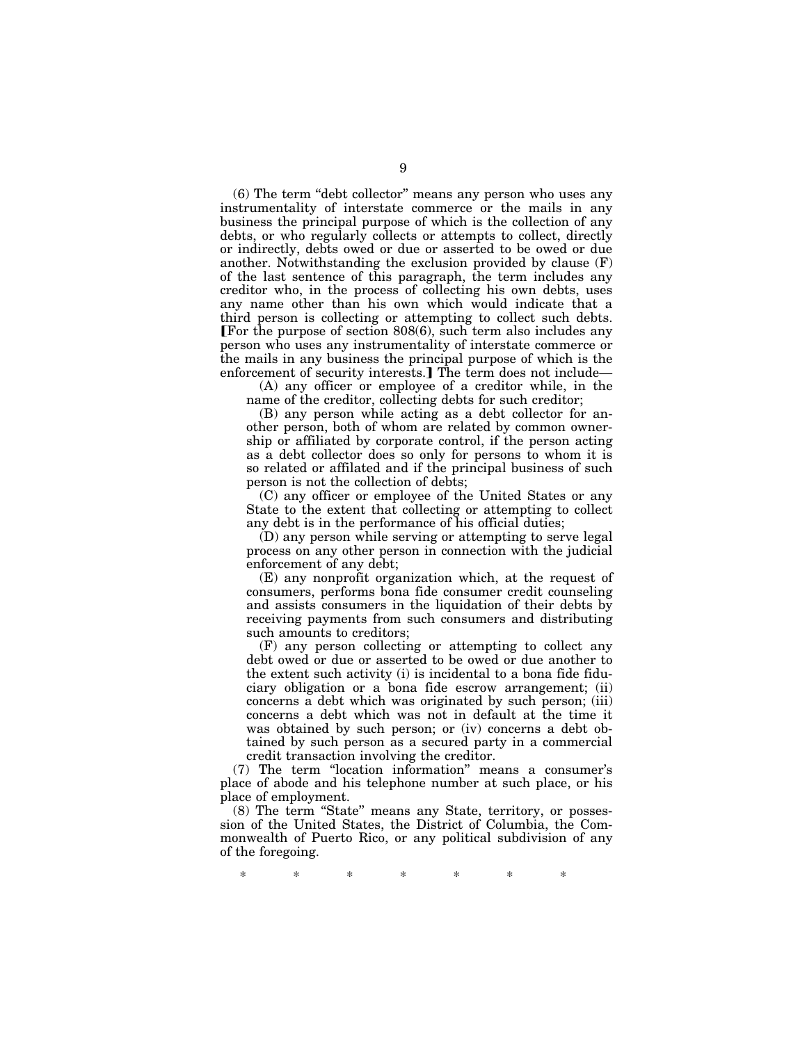(6) The term ''debt collector'' means any person who uses any instrumentality of interstate commerce or the mails in any business the principal purpose of which is the collection of any debts, or who regularly collects or attempts to collect, directly or indirectly, debts owed or due or asserted to be owed or due another. Notwithstanding the exclusion provided by clause (F) of the last sentence of this paragraph, the term includes any creditor who, in the process of collecting his own debts, uses any name other than his own which would indicate that a third person is collecting or attempting to collect such debts. For the purpose of section  $808(6)$ , such term also includes any person who uses any instrumentality of interstate commerce or the mails in any business the principal purpose of which is the enforcement of security interests.] The term does not include-

(A) any officer or employee of a creditor while, in the name of the creditor, collecting debts for such creditor;

(B) any person while acting as a debt collector for another person, both of whom are related by common ownership or affiliated by corporate control, if the person acting as a debt collector does so only for persons to whom it is so related or affilated and if the principal business of such person is not the collection of debts;

(C) any officer or employee of the United States or any State to the extent that collecting or attempting to collect any debt is in the performance of his official duties;

(D) any person while serving or attempting to serve legal process on any other person in connection with the judicial enforcement of any debt;

(E) any nonprofit organization which, at the request of consumers, performs bona fide consumer credit counseling and assists consumers in the liquidation of their debts by receiving payments from such consumers and distributing such amounts to creditors;

(F) any person collecting or attempting to collect any debt owed or due or asserted to be owed or due another to the extent such activity (i) is incidental to a bona fide fiduciary obligation or a bona fide escrow arrangement; (ii) concerns a debt which was originated by such person; (iii) concerns a debt which was not in default at the time it was obtained by such person; or (iv) concerns a debt obtained by such person as a secured party in a commercial credit transaction involving the creditor.

(7) The term ''location information'' means a consumer's place of abode and his telephone number at such place, or his place of employment.

(8) The term ''State'' means any State, territory, or possession of the United States, the District of Columbia, the Commonwealth of Puerto Rico, or any political subdivision of any of the foregoing.

\* \* \* \* \* \* \*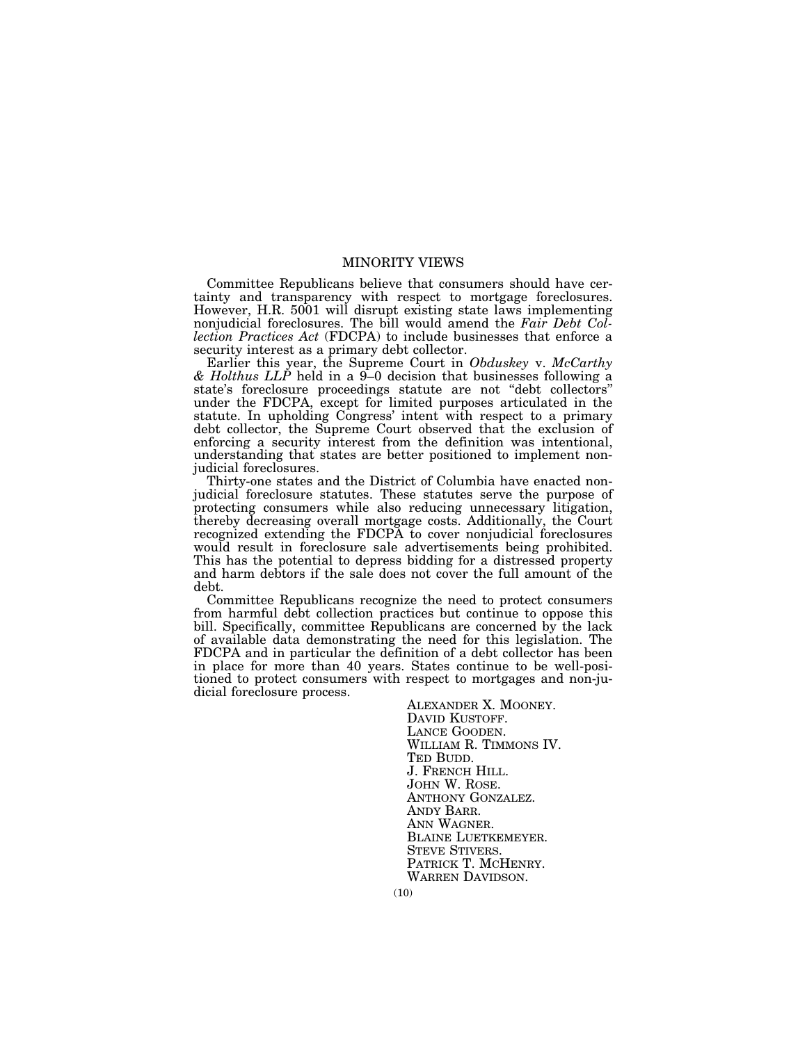# MINORITY VIEWS

Committee Republicans believe that consumers should have certainty and transparency with respect to mortgage foreclosures. However, H.R. 5001 will disrupt existing state laws implementing nonjudicial foreclosures. The bill would amend the *Fair Debt Collection Practices Act* (FDCPA) to include businesses that enforce a security interest as a primary debt collector.

Earlier this year, the Supreme Court in *Obduskey* v. *McCarthy & Holthus LLP* held in a 9–0 decision that businesses following a state's foreclosure proceedings statute are not ''debt collectors'' under the FDCPA, except for limited purposes articulated in the statute. In upholding Congress' intent with respect to a primary debt collector, the Supreme Court observed that the exclusion of enforcing a security interest from the definition was intentional, understanding that states are better positioned to implement nonjudicial foreclosures.

Thirty-one states and the District of Columbia have enacted nonjudicial foreclosure statutes. These statutes serve the purpose of protecting consumers while also reducing unnecessary litigation, thereby decreasing overall mortgage costs. Additionally, the Court recognized extending the FDCPA to cover nonjudicial foreclosures would result in foreclosure sale advertisements being prohibited. This has the potential to depress bidding for a distressed property and harm debtors if the sale does not cover the full amount of the debt.

Committee Republicans recognize the need to protect consumers from harmful debt collection practices but continue to oppose this bill. Specifically, committee Republicans are concerned by the lack of available data demonstrating the need for this legislation. The FDCPA and in particular the definition of a debt collector has been in place for more than 40 years. States continue to be well-positioned to protect consumers with respect to mortgages and non-judicial foreclosure process.

> ALEXANDER X. MOONEY.<br>DAVID KUSTOFF.<br>LANCE GOODEN.<br>WILLIAM R. TIMMONS IV.<br>TED BUDD. J. FRENCH HILL.<br>JOHN W. ROSE.<br>ANTHONY GONZALEZ.<br>ANDY BARR.<br>BLAINE LUETKEMEYER. STEVE STIVERS. PATRICK T. MCHENRY. WARREN DAVIDSON.